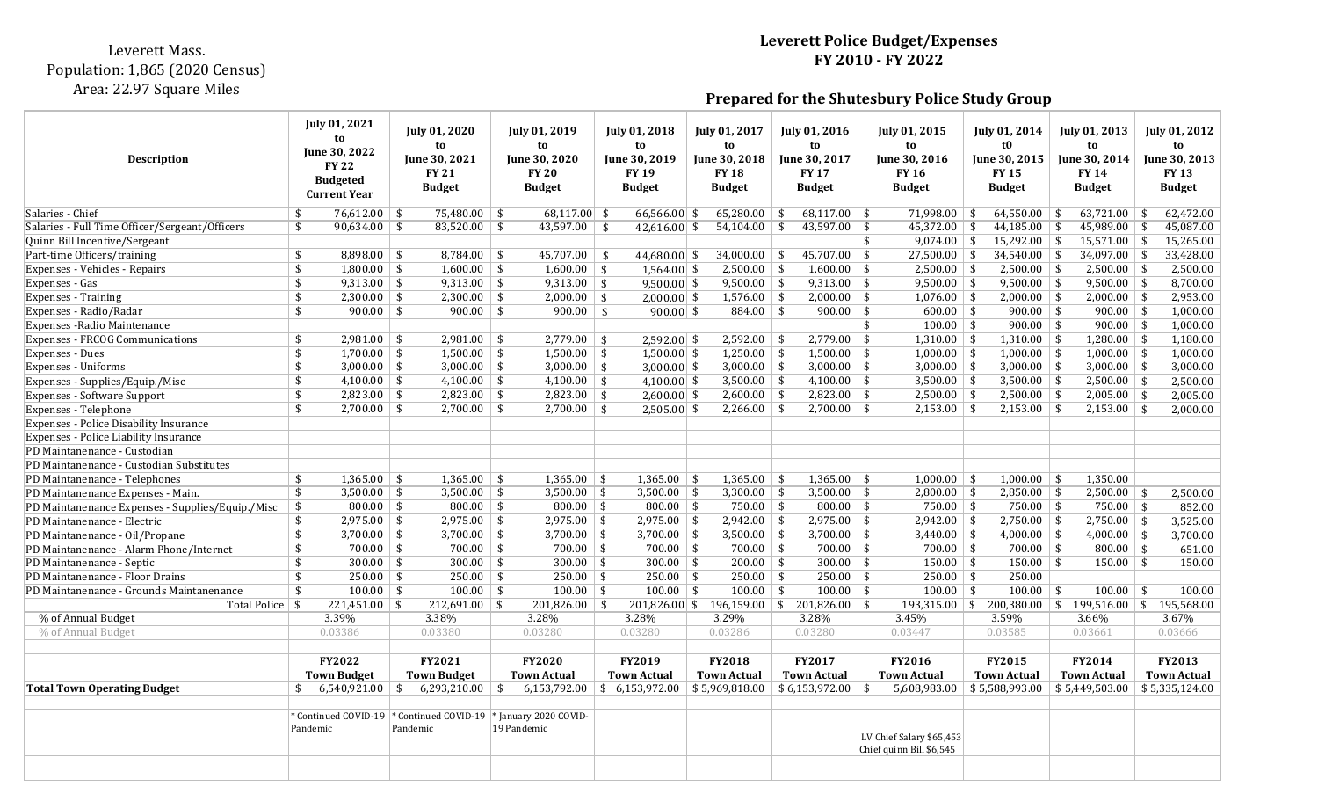## Leverett Mass. Population: 1,865 (2020 Census) Area: 22.97 Square Miles

## **Leverett Police Budget/Expenses FY 2010 - FY 2022**

**Prepared for the Shutesbury Police Study Group**

| <b>Description</b>                                                    | July 01, 2021<br>to<br>June 30, 2022<br><b>FY 22</b><br><b>Budgeted</b><br><b>Current Year</b> | July 01, 2020<br>to<br>June 30, 2021<br><b>FY 21</b><br><b>Budget</b>           | July 01, 2019<br>to<br>June 30, 2020<br><b>FY 20</b><br><b>Budget</b> | <b>July 01, 2018</b><br>to<br>June 30, 2019<br><b>FY 19</b><br><b>Budget</b> | July 01, 2017<br>to<br>June 30, 2018<br><b>FY 18</b><br><b>Budget</b> | <b>July 01, 2016</b><br>to<br>June 30, 2017<br><b>FY 17</b><br><b>Budget</b> | July 01, 2015<br>to<br>June 30, 2016<br><b>FY 16</b><br><b>Budget</b> | <b>July 01, 2014</b><br>t0<br>June 30, 2015<br><b>FY 15</b><br><b>Budget</b> | July 01, 2013<br>to<br>June 30, 2014<br><b>FY 14</b><br><b>Budget</b> | <b>July 01, 2012</b><br>to<br><b>Iune 30, 2013</b><br><b>FY 13</b><br><b>Budget</b> |
|-----------------------------------------------------------------------|------------------------------------------------------------------------------------------------|---------------------------------------------------------------------------------|-----------------------------------------------------------------------|------------------------------------------------------------------------------|-----------------------------------------------------------------------|------------------------------------------------------------------------------|-----------------------------------------------------------------------|------------------------------------------------------------------------------|-----------------------------------------------------------------------|-------------------------------------------------------------------------------------|
| Salaries - Chief                                                      | $76,612.00$ \$<br>\$                                                                           | $75,480.00$ \$                                                                  | 68,117.00 \$                                                          | $66,566.00$ \$                                                               | 65,280.00 \\$                                                         | $68,117.00$ \ \$                                                             | $71,998.00$ \ \$                                                      | $64,550.00$ \ \$                                                             | $63,721.00$ \$                                                        | 62,472.00                                                                           |
| Salaries - Full Time Officer/Sergeant/Officers                        | \$<br>$90,634.00$ \$                                                                           | $83,520.00$ \$                                                                  | $43,597.00$ \$                                                        | 42,616.00 $\frac{1}{2}$                                                      | $54,104.00$ \$                                                        | $43,597.00$ \$                                                               | $45,372.00$ \$                                                        | $44,185.00$ \$                                                               | $45,989.00$ \$                                                        | 45,087.00                                                                           |
| Quinn Bill Incentive/Sergeant                                         |                                                                                                |                                                                                 |                                                                       |                                                                              |                                                                       |                                                                              | $9,074.00$ \$<br>\$                                                   | $15,292.00$ \$                                                               | $15,571.00$ \$                                                        | 15,265.00                                                                           |
| Part-time Officers/training                                           | \$<br>$8,898.00$ \ \$                                                                          | $8,784.00$ \$                                                                   | $45,707.00$ \$                                                        | 44,680.00 \$                                                                 | $34,000.00$ \ \$                                                      | $45,707.00$ \$                                                               | $27,500.00$ \$                                                        | $34,540.00$ \$                                                               | $34,097.00$ \$                                                        | 33,428.00                                                                           |
| Expenses - Vehicles - Repairs                                         | \$<br>$1,800.00$ \ \$                                                                          | $1,600.00$ \ \$                                                                 | $1,600.00$ \$                                                         | $1,564.00$ \$                                                                | $2,500.00$ \$                                                         | $1,600.00$ \ \$                                                              | $2,500.00$ \ \$                                                       | $2,500.00$ \$                                                                | $2,500.00$ \$                                                         | 2,500.00                                                                            |
| Expenses - Gas                                                        | $\mathbf{\hat{S}}$<br>$9,313.00$ \ \$                                                          | $9,313.00$ \$                                                                   | $9,313.00$ \$                                                         | $9,500.00$ \$                                                                | $9,500.00$ \ \$                                                       | $9,313.00$ \ \$                                                              | $9,500.00$ \$                                                         | $9,500.00$ \$                                                                | $9,500.00$ \$                                                         | 8,700.00                                                                            |
| <b>Expenses</b> - Training                                            | \$<br>$2,300.00$ \ \$                                                                          | $2,300.00$ \$                                                                   | $2,000.00$ \$                                                         | $2,000.00$ \$                                                                | $1,576.00$ \ \$                                                       | $\overline{2,000.00}$   \$                                                   | $1,076.00$ \ \$                                                       | $2,000.00$ \$                                                                | $2,000.00$ \$                                                         | 2,953.00                                                                            |
| Expenses - Radio/Radar                                                | \$<br>$900.00$ \$                                                                              | $900.00$ \$                                                                     | $900.00$ \$                                                           | $900.00$ \$                                                                  | $884.00$ \$                                                           | $900.00$ \ \$                                                                | $600.00$ \$                                                           | $900.00$ \ \$                                                                | $900.00$ \$                                                           | 1,000.00                                                                            |
| Expenses - Radio Maintenance                                          |                                                                                                |                                                                                 |                                                                       |                                                                              |                                                                       |                                                                              | $100.00$ \$<br>\$                                                     | $900.00$ \$                                                                  | $900.00$   \$                                                         | 1,000.00                                                                            |
| <b>Expenses - FRCOG Communications</b>                                | \$<br>$2,981.00$ \ \$                                                                          | $2,981.00$ \ \$                                                                 | $2,779.00$ \$                                                         | $2,592.00$ \$                                                                | $2,592.00$ \ \$                                                       | $2,779.00$ \$                                                                | $1,310.00$ \$                                                         | $1,310.00$ \$                                                                | $1,280.00$ \$                                                         | 1,180.00                                                                            |
| <b>Expenses - Dues</b>                                                | \$<br>$1,700.00$ \ \$<br>\$                                                                    | $1,500.00$ \$                                                                   | $1,500.00$ \$                                                         | $1,500.00$ \$                                                                | $1,250.00$ \ \$                                                       | $1,500.00$ \ \$                                                              | $1,000.00$ \$                                                         | $1,000.00$ \$                                                                | $1,000.00$ \$                                                         | 1.000.00<br>3,000.00                                                                |
| Expenses - Uniforms                                                   | $3,000.00$ \$<br>\$<br>$4,100.00$ \$                                                           | $3,000.00$ \$<br>$4,100.00$ \$                                                  | $3,000.00$ \$<br>$4,100.00$ \$                                        | $3,000.00$ \$                                                                | $3,000.00$ \$                                                         | $3,000.00$ \ \$<br>$4,100.00$ \$                                             | $3,000.00$ \$                                                         | $3,000.00$ \$<br>$3,500.00$ \$                                               | $3,000.00$ \ \$<br>$2,500.00$ \$                                      |                                                                                     |
| Expenses - Supplies/Equip./Misc<br><b>Expenses - Software Support</b> | \$<br>$2,823.00$ \ \$                                                                          | $2,823.00$ \$                                                                   | $2,823.00$ \$                                                         | $4,100.00$ \$<br>$2,600.00$ \$                                               | 3,500.00 $\sqrt{$}$<br>$2,600.00$ \$                                  | $2,823.00$ \$                                                                | $3,500.00$ \ \$<br>$2,500.00$ \$                                      | $\overline{2,500.00}$ \$                                                     | $2,005.00$ \$                                                         | 2,500.00<br>2,005.00                                                                |
| Expenses - Telephone                                                  | \$<br>$2,700.00$ \ \$                                                                          | $2,700.00$ \ \$                                                                 | $2,700.00$ \$                                                         | $2,505.00$ \$                                                                | $2,266.00$ \ \$                                                       | $2,700.00$ \ \$                                                              | $2,153.00$ \$                                                         | $2,153.00$ \ \$                                                              | $2,153.00$ \$                                                         | 2,000.00                                                                            |
| Expenses - Police Disability Insurance                                |                                                                                                |                                                                                 |                                                                       |                                                                              |                                                                       |                                                                              |                                                                       |                                                                              |                                                                       |                                                                                     |
| Expenses - Police Liability Insurance                                 |                                                                                                |                                                                                 |                                                                       |                                                                              |                                                                       |                                                                              |                                                                       |                                                                              |                                                                       |                                                                                     |
| PD Maintanenance - Custodian                                          |                                                                                                |                                                                                 |                                                                       |                                                                              |                                                                       |                                                                              |                                                                       |                                                                              |                                                                       |                                                                                     |
| PD Maintanenance - Custodian Substitutes                              |                                                                                                |                                                                                 |                                                                       |                                                                              |                                                                       |                                                                              |                                                                       |                                                                              |                                                                       |                                                                                     |
| PD Maintanenance - Telephones                                         | \$<br>$1,365.00$ \ \$                                                                          | $1,365.00$ \ \$                                                                 | $1,365.00$ \ \$                                                       | $1,365.00$ \ \$                                                              | $1,365.00$ \ \$                                                       | $1,365.00$ \ \$                                                              | $1,000.00$ \ \$                                                       | $1,000.00$ \ \$                                                              | 1,350.00                                                              |                                                                                     |
| PD Maintanenance Expenses - Main.                                     | \$<br>$3,500.00$ \$                                                                            | $3,500.00$ \$                                                                   | $3,500.00$ \$                                                         | $3,500.00$ \$                                                                | $3,300.00$ \$                                                         | $3,500.00$ \$                                                                | $2,800.00$ \$                                                         | $2,850.00$ \$                                                                | $2,500.00$ \$                                                         | 2.500.00                                                                            |
| PD Maintanenance Expenses - Supplies/Equip./Misc                      | $800.00$ \ \$<br>\$                                                                            | $800.00$ \$                                                                     | $800.00$ \$                                                           | $800.00$ \$                                                                  | $750.00$ \$                                                           | $800.00$ \ \$                                                                | $750.00$ \ \$                                                         | $750.00$ \$                                                                  | $750.00$ \ \$                                                         | 852.00                                                                              |
| PD Maintanenance - Electric                                           | \$<br>$2,975.00$ \$                                                                            | $2,975.00$ \$                                                                   | $2,975.00$ \$                                                         | $2,975.00$ \$                                                                | $2,942.00$ \$                                                         | $2,975.00$ \$                                                                | $2,942.00$ \$                                                         | $2,750.00$ \$                                                                | $2,750.00$ \$                                                         | 3,525.00                                                                            |
| PD Maintanenance - Oil/Propane                                        | $3,700.00$ \$<br>\$                                                                            | $3,700.00$ \$                                                                   | $3,700.00$ \$                                                         | $3,700.00$ \$                                                                | $3,500.00$ \$                                                         | $3,700.00$ \$                                                                | $3,440.00$ \$                                                         | $4,000.00$ \$                                                                | $4,000.00$ \$                                                         | 3.700.00                                                                            |
| PD Maintanenance - Alarm Phone/Internet                               | $700.00$ \$<br>\$                                                                              | $700.00$ \$                                                                     | $700.00$ \$                                                           | $700.00$ \$                                                                  | $700.00$ \$                                                           | $700.00$ \$                                                                  | $700.00$ \$                                                           | $700.00$ \$                                                                  | $800.00$ \$                                                           | 651.00                                                                              |
| PD Maintanenance - Septic                                             | \$<br>$300.00$ \ \$                                                                            | $300.00$ \$                                                                     | $300.00$ \$                                                           | $300.00$ \ \$                                                                | $200.00$ \ \$                                                         | $300.00$ \ \$                                                                | $150.00$ \ \$                                                         | $150.00$ \$                                                                  | $150.00$ \ \$                                                         | 150.00                                                                              |
| PD Maintanenance - Floor Drains                                       | $\mathbf{\hat{S}}$<br>$250.00$ \$                                                              | $250.00$ \$                                                                     | $250.00$ \$                                                           | $250.00$ \$                                                                  | $250.00$ \$                                                           | $250.00$ \$                                                                  | $250.00$ \$                                                           | 250.00                                                                       |                                                                       |                                                                                     |
| PD Maintanenance - Grounds Maintanenance                              | $\mathbf{\hat{S}}$<br>$100.00$ \$                                                              | $100.00$   \$                                                                   | $100.00$ \$                                                           | $100.00$ \$                                                                  | $100.00$ \$                                                           | $100.00$ \$                                                                  | $100.00$ \$                                                           | $100.00$ \$                                                                  | $100.00$ \ \$                                                         | 100.00                                                                              |
| Total Police   \$                                                     | $221,451.00$ \ \$                                                                              | $212,691.00$ \$                                                                 | $201,826.00$ \$                                                       |                                                                              |                                                                       | $201,826.00$ \$ 196,159.00 \$ 201,826.00 \$                                  |                                                                       | $193,315.00$ \$ 200,380.00 \$ 199,516.00 \$                                  |                                                                       | 195,568.00                                                                          |
| % of Annual Budget                                                    | 3.39%                                                                                          | 3.38%                                                                           | 3.28%                                                                 | 3.28%                                                                        | 3.29%                                                                 | 3.28%                                                                        | 3.45%                                                                 | 3.59%                                                                        | 3.66%                                                                 | 3.67%                                                                               |
| % of Annual Budget                                                    | 0.03386                                                                                        | 0.03380                                                                         | 0.03280                                                               | 0.03280                                                                      | 0.03286                                                               | 0.03280                                                                      | 0.03447                                                               | 0.03585                                                                      | 0.03661                                                               | 0.03666                                                                             |
|                                                                       | <b>FY2022</b><br><b>Town Budget</b>                                                            | FY2021<br><b>Town Budget</b>                                                    | FY2020<br><b>Town Actual</b>                                          | FY2019<br><b>Town Actual</b>                                                 | <b>FY2018</b><br><b>Town Actual</b>                                   | FY2017<br><b>Town Actual</b>                                                 | FY2016<br><b>Town Actual</b>                                          | FY2015<br><b>Town Actual</b>                                                 | FY2014<br><b>Town Actual</b>                                          | FY2013<br><b>Town Actual</b>                                                        |
| <b>Total Town Operating Budget</b>                                    | 6,540,921.00<br>\$                                                                             | $6,293,210.00$ \$<br>-\$                                                        |                                                                       | $6,153,792.00$   \$ $6,153,972.00$                                           | \$5,969,818.00                                                        | $$6,153,972.00$ \ \$                                                         | 5,608,983.00                                                          | $\vert$ \$ 5,588,993.00 $\vert$ \$ 5,449,503.00                              |                                                                       | \$5,335,124.00                                                                      |
|                                                                       | Pandemic                                                                                       | * Continued COVID-19   * Continued COVID-19   * January 2020 COVID-<br>Pandemic | 19 Pandemic                                                           |                                                                              |                                                                       |                                                                              | LV Chief Salary \$65,453<br>Chief quinn Bill \$6,545                  |                                                                              |                                                                       |                                                                                     |